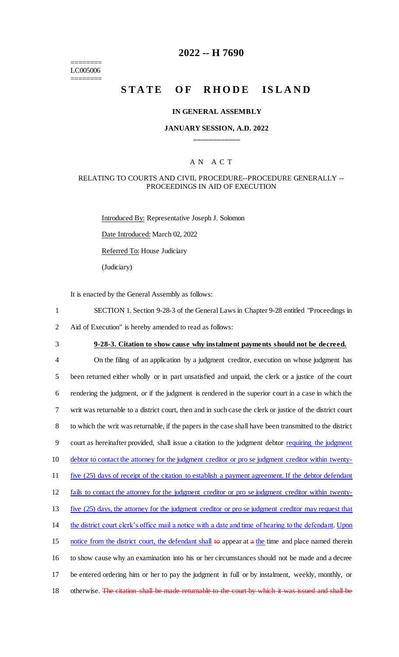======== LC005006 ========

# **2022 -- H 7690**

# **STATE OF RHODE ISLAND**

#### **IN GENERAL ASSEMBLY**

### **JANUARY SESSION, A.D. 2022 \_\_\_\_\_\_\_\_\_\_\_\_**

#### A N A C T

## RELATING TO COURTS AND CIVIL PROCEDURE--PROCEDURE GENERALLY -- PROCEEDINGS IN AID OF EXECUTION

Introduced By: Representative Joseph J. Solomon Date Introduced: March 02, 2022 Referred To: House Judiciary (Judiciary)

It is enacted by the General Assembly as follows:

- 1 SECTION 1. Section 9-28-3 of the General Laws in Chapter 9-28 entitled "Proceedings in 2 Aid of Execution" is hereby amended to read as follows:
- 3 **9-28-3. Citation to show cause why instalment payments should not be decreed.**

 On the filing of an application by a judgment creditor, execution on whose judgment has been returned either wholly or in part unsatisfied and unpaid, the clerk or a justice of the court rendering the judgment, or if the judgment is rendered in the superior court in a case in which the writ was returnable to a district court, then and in such case the clerk or justice of the district court to which the writ was returnable, if the papers in the case shall have been transmitted to the district 9 court as hereinafter provided, shall issue a citation to the judgment debtor requiring the judgment debtor to contact the attorney for the judgment creditor or pro se judgment creditor within twenty-11 five (25) days of receipt of the citation to establish a payment agreement. If the debtor defendant fails to contact the attorney for the judgment creditor or pro se judgment creditor within twenty- five (25) days, the attorney for the judgment creditor or pro se judgment creditor may request that the district court clerk's office mail a notice with a date and time of hearing to the defendant. Upon 15 notice from the district court, the defendant shall to appear at  $a$  the time and place named therein to show cause why an examination into his or her circumstances should not be made and a decree be entered ordering him or her to pay the judgment in full or by instalment, weekly, monthly, or 18 otherwise. The citation shall be made returnable to the court by which it was issued and shall be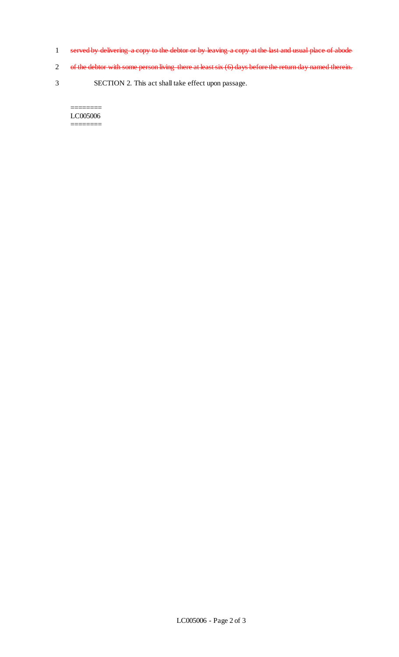- 1 served by delivering a copy to the debtor or by leaving a copy at the last and usual place of abode
- 2 of the debtor with some person living there at least six (6) days before the return day named therein.
- 3 SECTION 2. This act shall take effect upon passage.

#### LC005006  $=$

 $=$